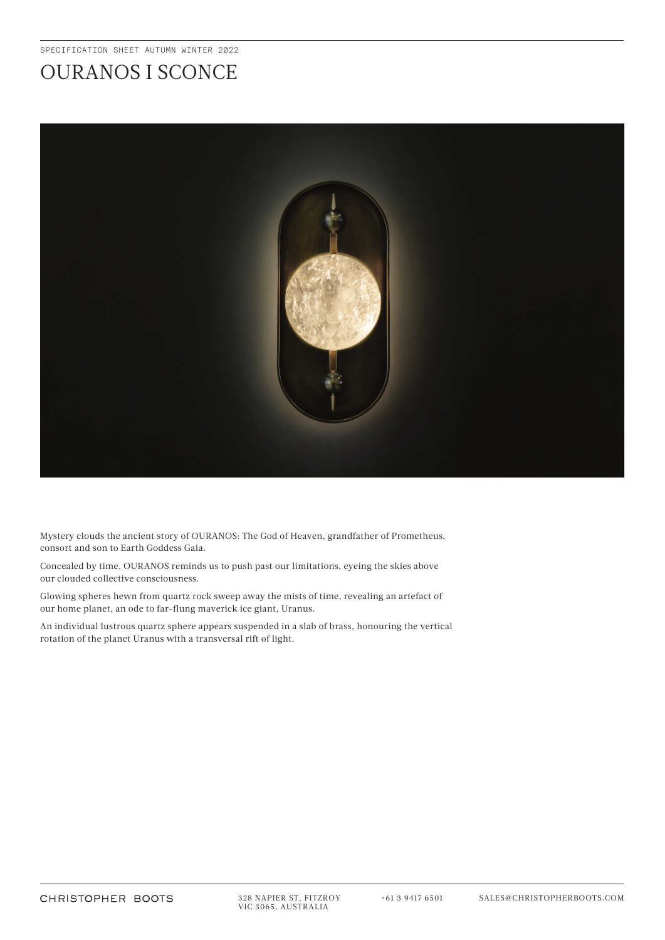## OURANOS I SCONCE



Mystery clouds the ancient story of OURANOS: The God of Heaven, grandfather of Prometheus, consort and son to Earth Goddess Gaia.

Concealed by time, OURANOS reminds us to push past our limitations, eyeing the skies above our clouded collective consciousness.

Glowing spheres hewn from quartz rock sweep away the mists of time, revealing an artefact of our home planet, an ode to far-flung maverick ice giant, Uranus.

An individual lustrous quartz sphere appears suspended in a slab of brass, honouring the vertical rotation of the planet Uranus with a transversal rift of light.